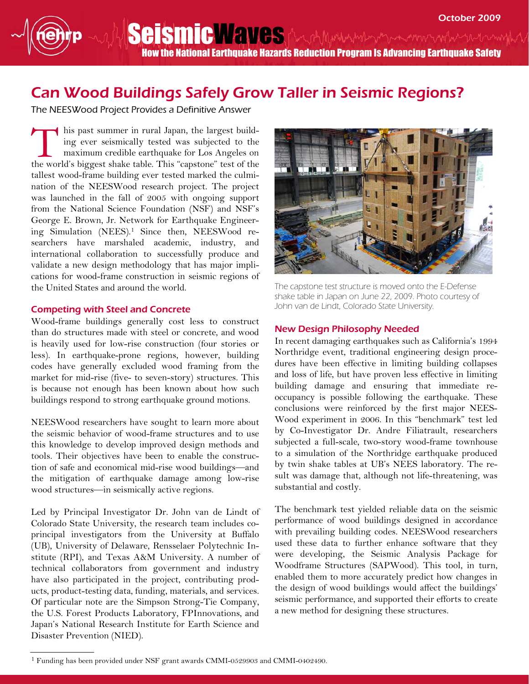SeismicWaves (muthylythemythemythylythemy How the National Earthquake Hazards Reduction Program Is Advancing Earthquake Safety

# Can Wood Buildings Safely Grow Taller in Seismic Regions?

The NEESWood Project Provides a Definitive Answer

his past summer in rural Japan, the largest building ever seismically tested was subjected to the maximum credible earthquake for Los Angeles on the world's biggest shake table. This "capstone" test of the tallest wood-frame building ever tested marked the culmination of the NEESWood research project. The project was launched in the fall of 2005 with ongoing support from the National Science Foundation (NSF) and NSF's George E. Brown, Jr. Network for Earthquake Engineering Simulation (NEES).1 Since then, NEESWood researchers have marshaled academic, industry, and international collaboration to successfully produce and validate a new design methodology that has major implications for wood-frame construction in seismic regions of the United States and around the world. T

#### Competing with Steel and Concrete

Wood-frame buildings generally cost less to construct than do structures made with steel or concrete, and wood is heavily used for low-rise construction (four stories or less). In earthquake-prone regions, however, building codes have generally excluded wood framing from the market for mid-rise (five- to seven-story) structures. This is because not enough has been known about how such buildings respond to strong earthquake ground motions.

NEESWood researchers have sought to learn more about the seismic behavior of wood-frame structures and to use this knowledge to develop improved design methods and tools. Their objectives have been to enable the construction of safe and economical mid-rise wood buildings—and the mitigation of earthquake damage among low-rise wood structures—in seismically active regions.

Led by Principal Investigator Dr. John van de Lindt of Colorado State University, the research team includes coprincipal investigators from the University at Buffalo (UB), University of Delaware, Rensselaer Polytechnic Institute (RPI), and Texas A&M University. A number of technical collaborators from government and industry have also participated in the project, contributing products, product-testing data, funding, materials, and services. Of particular note are the Simpson Strong-Tie Company, the U.S. Forest Products Laboratory, FPInnovations, and Japan's National Research Institute for Earth Science and Disaster Prevention (NIED).



The capstone test structure is moved onto the E-Defense shake table in Japan on June 22, 2009. Photo courtesy of John van de Lindt, Colorado State University.

### New Design Philosophy Needed

In recent damaging earthquakes such as California's 1994 Northridge event, traditional engineering design procedures have been effective in limiting building collapses and loss of life, but have proven less effective in limiting building damage and ensuring that immediate reoccupancy is possible following the earthquake. These conclusions were reinforced by the first major NEES-Wood experiment in 2006. In this "benchmark" test led by Co-Investigator Dr. Andre Filiatrault, researchers subjected a full-scale, two-story wood-frame townhouse to a simulation of the Northridge earthquake produced by twin shake tables at UB's NEES laboratory. The result was damage that, although not life-threatening, was substantial and costly.

The benchmark test yielded reliable data on the seismic performance of wood buildings designed in accordance with prevailing building codes. NEESWood researchers used these data to further enhance software that they were developing, the Seismic Analysis Package for Woodframe Structures (SAPWood). This tool, in turn, enabled them to more accurately predict how changes in the design of wood buildings would affect the buildings' seismic performance, and supported their efforts to create a new method for designing these structures.

<sup>&</sup>lt;sup>1</sup> Funding has been provided under NSF grant awards CMMI-0529903 and CMMI-0402490.